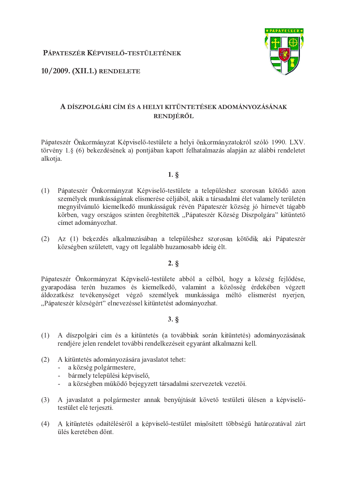PÁPATESZÉR KÉPVISELŐ-TESTÜLETÉNEK

10/2009. (XII.1.) RENDELETE

# A DÍSZPOLGÁRI CÍM ÉS A HELYI KITÜNTETÉSEK ADOMÁNYOZÁSÁNAK RENDJÉRŐL

Pápateszér Önkormányzat Képviselő-testülete a helyi önkormányzatokról szóló 1990. LXV. törvény 1.8 (6) bekezdésének a) pontiában kapott felhatalmazás alapján az alábbi rendeletet alkotja.

- $1. \S$
- $(1)$ Pápateszér Önkormányzat Képviselő-testülete a településhez szorosan kötődő azon személyek munkásságának elismerése céljából, akik a társadalmi élet valamely területén megnyilvánuló kiemelkedő munkásságuk révén Pápateszér község jó hírnevét tágabb körben, vagy országos szinten öregbítették "Pápateszér Község Díszpolgára" kitüntető címet adományozhat.
- (2) Az (1) bekezdés alkalmazásában a településhez szorosan kötődik aki Pápateszér községben született, vagy ott legalább huzamosabb ideig élt.

## $2. \S$

Pápateszér Önkormányzat Képviselő-testülete abból a célból, hogy a község fejlődése, gyarapodása terén huzamos és kiemelkedő, valamint a közösség érdekében végzett áldozatkész tevékenységet végző személyek munkássága méltó elismerést nyerjen, "Pápateszér községért" elnevezéssel kitüntetést adományozhat.

## $3.$   $\S$

- $(1)$ A díszpolgári cím és a kitüntetés (a továbbiak során kitüntetés) adományozásának rendjére jelen rendelet további rendelkezéseit egyaránt alkalmazni kell.
- $(2)$ A kitüntetés adományozására javaslatot tehet:
	- a község polgármestere.
	- bármely települési képviselő,
	- a községben működő bejegyzett társadalmi szervezetek vezetői.  $\omega_{\rm{eff}}$
- (3) A javaslatot a polgármester annak benyújtását követő testületi ülésen a képviselőtestület elé terjeszti.
- (4) A kitüntetés odaítéléséről a képviselő-testület minősített többségű határozatával zárt ülés keretében dönt